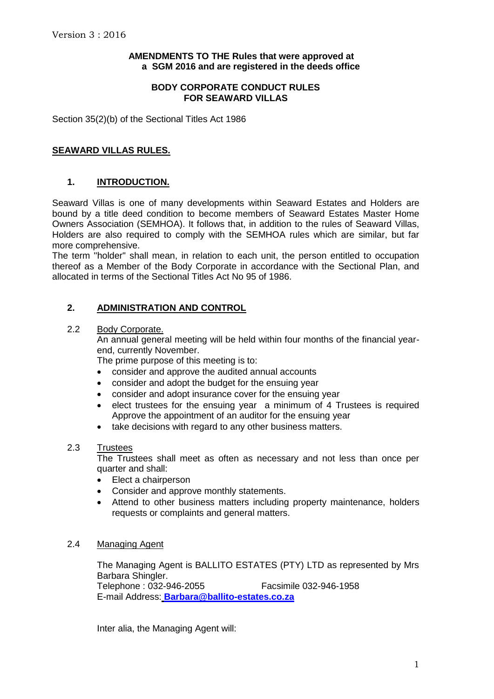## **AMENDMENTS TO THE Rules that were approved at a SGM 2016 and are registered in the deeds office**

### **BODY CORPORATE CONDUCT RULES FOR SEAWARD VILLAS**

Section 35(2)(b) of the Sectional Titles Act 1986

## **SEAWARD VILLAS RULES.**

# **1. INTRODUCTION.**

Seaward Villas is one of many developments within Seaward Estates and Holders are bound by a title deed condition to become members of Seaward Estates Master Home Owners Association (SEMHOA). It follows that, in addition to the rules of Seaward Villas, Holders are also required to comply with the SEMHOA rules which are similar, but far more comprehensive.

The term "holder" shall mean, in relation to each unit, the person entitled to occupation thereof as a Member of the Body Corporate in accordance with the Sectional Plan, and allocated in terms of the Sectional Titles Act No 95 of 1986.

# **2. ADMINISTRATION AND CONTROL**

### 2.2 Body Corporate.

An annual general meeting will be held within four months of the financial yearend, currently November.

The prime purpose of this meeting is to:

- consider and approve the audited annual accounts
- consider and adopt the budget for the ensuing year
- consider and adopt insurance cover for the ensuing year
- elect trustees for the ensuing year a minimum of 4 Trustees is required Approve the appointment of an auditor for the ensuing year
- take decisions with regard to any other business matters.

#### 2.3 Trustees

The Trustees shall meet as often as necessary and not less than once per quarter and shall:

- Elect a chairperson
- Consider and approve monthly statements.
- Attend to other business matters including property maintenance, holders requests or complaints and general matters.

### 2.4 Managing Agent

The Managing Agent is BALLITO ESTATES (PTY) LTD as represented by Mrs Barbara Shingler. Telephone : 032-946-2055 Facsimile 032-946-1958 E-mail Address: **[Barbara@ballito-estates.co.za](mailto:Barbara@ballito-estates.co.za)**

Inter alia, the Managing Agent will: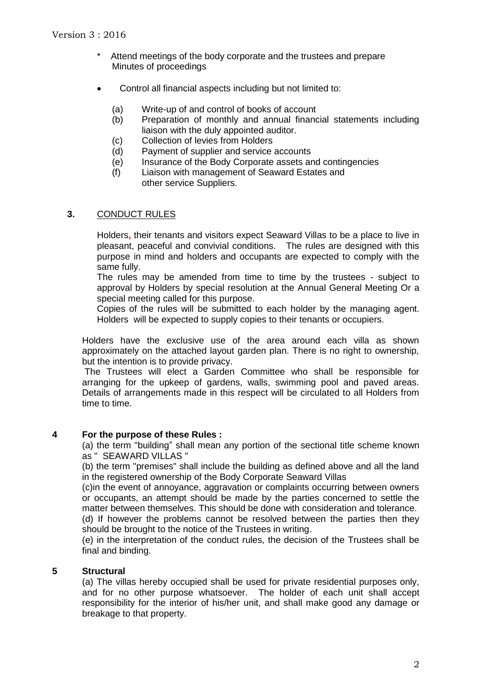- Attend meetings of the body corporate and the trustees and prepare Minutes of proceedings
- Control all financial aspects including but not limited to:
	- (a) Write-up of and control of books of account
	- (b) Preparation of monthly and annual financial statements including liaison with the duly appointed auditor.
	- (c) Collection of levies from Holders
	- (d) Payment of supplier and service accounts
	- (e) Insurance of the Body Corporate assets and contingencies
	- (f) Liaison with management of Seaward Estates and other service Suppliers.

## **3.** CONDUCT RULES

Holders**,** their tenants and visitors expect Seaward Villas to be a place to live in pleasant, peaceful and convivial conditions. The rules are designed with this purpose in mind and holders and occupants are expected to comply with the same fully.

The rules may be amended from time to time by the trustees - subject to approval by Holders by special resolution at the Annual General Meeting Or a special meeting called for this purpose.

Copies of the rules will be submitted to each holder by the managing agent. Holders will be expected to supply copies to their tenants or occupiers.

Holders have the exclusive use of the area around each villa as shown approximately on the attached layout garden plan. There is no right to ownership, but the intention is to provide privacy.

The Trustees will elect a Garden Committee who shall be responsible for arranging for the upkeep of gardens, walls, swimming pool and paved areas. Details of arrangements made in this respect will be circulated to all Holders from time to time.

#### **4 For the purpose of these Rules :**

(a) the term "building" shall mean any portion of the sectional title scheme known as " SEAWARD VILLAS "

(b) the term "premises" shall include the building as defined above and all the land in the registered ownership of the Body Corporate Seaward Villas

(c)in the event of annoyance, aggravation or complaints occurring between owners or occupants, an attempt should be made by the parties concerned to settle the matter between themselves. This should be done with consideration and tolerance. (d) If however the problems cannot be resolved between the parties then they should be brought to the notice of the Trustees in writing.

(e) in the interpretation of the conduct rules, the decision of the Trustees shall be final and binding.

### **5 Structural**

(a) The villas hereby occupied shall be used for private residential purposes only, and for no other purpose whatsoever. The holder of each unit shall accept responsibility for the interior of his/her unit, and shall make good any damage or breakage to that property.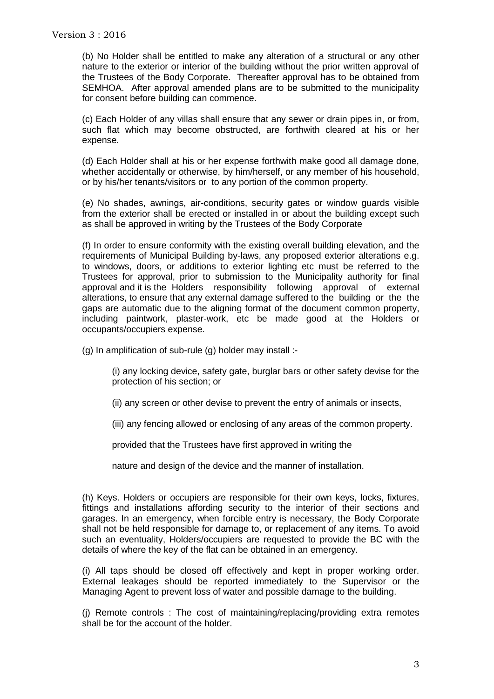(b) No Holder shall be entitled to make any alteration of a structural or any other nature to the exterior or interior of the building without the prior written approval of the Trustees of the Body Corporate. Thereafter approval has to be obtained from SEMHOA. After approval amended plans are to be submitted to the municipality for consent before building can commence.

(c) Each Holder of any villas shall ensure that any sewer or drain pipes in, or from, such flat which may become obstructed, are forthwith cleared at his or her expense.

(d) Each Holder shall at his or her expense forthwith make good all damage done, whether accidentally or otherwise, by him/herself, or any member of his household, or by his/her tenants/visitors or to any portion of the common property.

(e) No shades, awnings, air-conditions, security gates or window guards visible from the exterior shall be erected or installed in or about the building except such as shall be approved in writing by the Trustees of the Body Corporate

(f) In order to ensure conformity with the existing overall building elevation, and the requirements of Municipal Building by-laws, any proposed exterior alterations e.g. to windows, doors, or additions to exterior lighting etc must be referred to the Trustees for approval, prior to submission to the Municipality authority for final approval and it is the Holders responsibility following approval of external alterations, to ensure that any external damage suffered to the building or the the gaps are automatic due to the aligning format of the document common property, including paintwork, plaster-work, etc be made good at the Holders or occupants/occupiers expense.

(g) In amplification of sub-rule (g) holder may install :-

(i) any locking device, safety gate, burglar bars or other safety devise for the protection of his section; or

(ii) any screen or other devise to prevent the entry of animals or insects,

(iii) any fencing allowed or enclosing of any areas of the common property.

provided that the Trustees have first approved in writing the

nature and design of the device and the manner of installation.

(h) Keys. Holders or occupiers are responsible for their own keys, locks, fixtures, fittings and installations affording security to the interior of their sections and garages. In an emergency, when forcible entry is necessary, the Body Corporate shall not be held responsible for damage to, or replacement of any items. To avoid such an eventuality, Holders/occupiers are requested to provide the BC with the details of where the key of the flat can be obtained in an emergency.

(i) All taps should be closed off effectively and kept in proper working order. External leakages should be reported immediately to the Supervisor or the Managing Agent to prevent loss of water and possible damage to the building.

(i) Remote controls : The cost of maintaining/replacing/providing  $\frac{1}{2}$  remotes shall be for the account of the holder.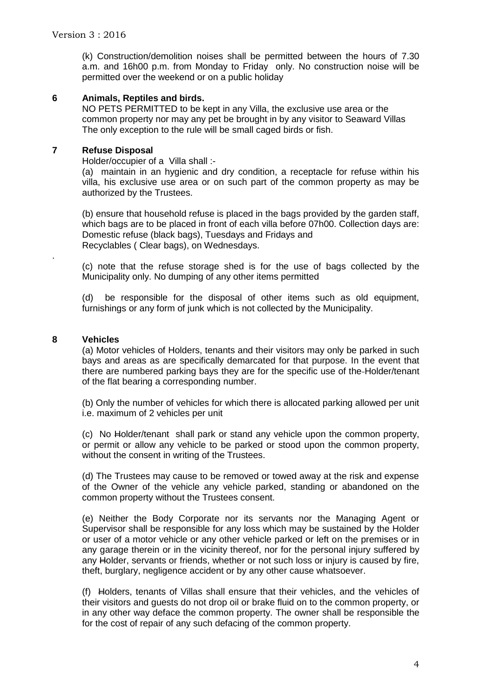(k) Construction/demolition noises shall be permitted between the hours of 7.30 a.m. and 16h00 p.m. from Monday to Friday only. No construction noise will be permitted over the weekend or on a public holiday

## **6 Animals, Reptiles and birds.**

NO PETS PERMITTED to be kept in any Villa, the exclusive use area or the common property nor may any pet be brought in by any visitor to Seaward Villas The only exception to the rule will be small caged birds or fish.

## **7 Refuse Disposal**

Holder/occupier of a Villa shall :-

(a) maintain in an hygienic and dry condition, a receptacle for refuse within his villa, his exclusive use area or on such part of the common property as may be authorized by the Trustees.

(b) ensure that household refuse is placed in the bags provided by the garden staff, which bags are to be placed in front of each villa before 07h00. Collection days are: Domestic refuse (black bags), Tuesdays and Fridays and Recyclables ( Clear bags), on Wednesdays.

(c) note that the refuse storage shed is for the use of bags collected by the Municipality only. No dumping of any other items permitted

(d) be responsible for the disposal of other items such as old equipment, furnishings or any form of junk which is not collected by the Municipality.

# **8 Vehicles**

.

(a) Motor vehicles of Holders, tenants and their visitors may only be parked in such bays and areas as are specifically demarcated for that purpose. In the event that there are numbered parking bays they are for the specific use of the-Holder/tenant of the flat bearing a corresponding number.

(b) Only the number of vehicles for which there is allocated parking allowed per unit i.e. maximum of 2 vehicles per unit

(c) No Holder/tenant shall park or stand any vehicle upon the common property, or permit or allow any vehicle to be parked or stood upon the common property, without the consent in writing of the Trustees.

(d) The Trustees may cause to be removed or towed away at the risk and expense of the Owner of the vehicle any vehicle parked, standing or abandoned on the common property without the Trustees consent.

(e) Neither the Body Corporate nor its servants nor the Managing Agent or Supervisor shall be responsible for any loss which may be sustained by the Holder or user of a motor vehicle or any other vehicle parked or left on the premises or in any garage therein or in the vicinity thereof, nor for the personal injury suffered by any Holder, servants or friends, whether or not such loss or injury is caused by fire, theft, burglary, negligence accident or by any other cause whatsoever.

(f) Holders, tenants of Villas shall ensure that their vehicles, and the vehicles of their visitors and guests do not drop oil or brake fluid on to the common property, or in any other way deface the common property. The owner shall be responsible the for the cost of repair of any such defacing of the common property.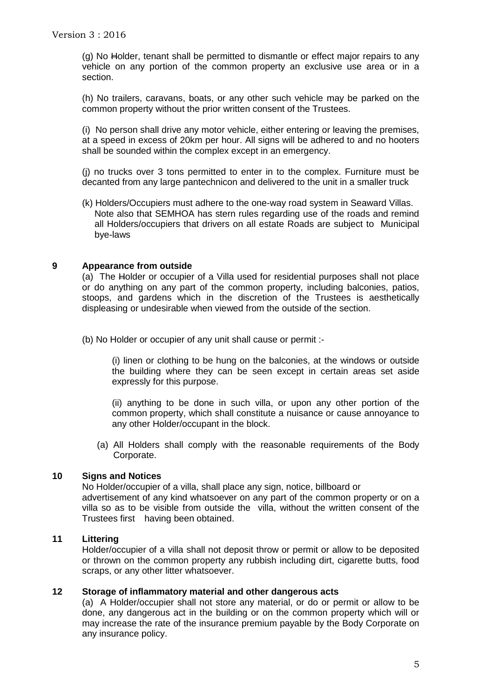(g) No Holder, tenant shall be permitted to dismantle or effect major repairs to any vehicle on any portion of the common property an exclusive use area or in a section.

(h) No trailers, caravans, boats, or any other such vehicle may be parked on the common property without the prior written consent of the Trustees.

(i) No person shall drive any motor vehicle, either entering or leaving the premises, at a speed in excess of 20km per hour. All signs will be adhered to and no hooters shall be sounded within the complex except in an emergency.

(j) no trucks over 3 tons permitted to enter in to the complex. Furniture must be decanted from any large pantechnicon and delivered to the unit in a smaller truck

(k) Holders/Occupiers must adhere to the one-way road system in Seaward Villas. Note also that SEMHOA has stern rules regarding use of the roads and remind all Holders/occupiers that drivers on all estate Roads are subject to Municipal bye-laws

### **9 Appearance from outside**

(a) The Holder or occupier of a Villa used for residential purposes shall not place or do anything on any part of the common property, including balconies, patios, stoops, and gardens which in the discretion of the Trustees is aesthetically displeasing or undesirable when viewed from the outside of the section.

(b) No Holder or occupier of any unit shall cause or permit :-

(i) linen or clothing to be hung on the balconies, at the windows or outside the building where they can be seen except in certain areas set aside expressly for this purpose.

(ii) anything to be done in such villa, or upon any other portion of the common property, which shall constitute a nuisance or cause annoyance to any other Holder/occupant in the block.

(a) All Holders shall comply with the reasonable requirements of the Body Corporate.

## **10 Signs and Notices**

No Holder/occupier of a villa, shall place any sign, notice, billboard or advertisement of any kind whatsoever on any part of the common property or on a villa so as to be visible from outside the villa, without the written consent of the Trustees first having been obtained.

## **11 Littering**

Holder/occupier of a villa shall not deposit throw or permit or allow to be deposited or thrown on the common property any rubbish including dirt, cigarette butts, food scraps, or any other litter whatsoever.

#### **12 Storage of inflammatory material and other dangerous acts**

(a) A Holder/occupier shall not store any material, or do or permit or allow to be done, any dangerous act in the building or on the common property which will or may increase the rate of the insurance premium payable by the Body Corporate on any insurance policy.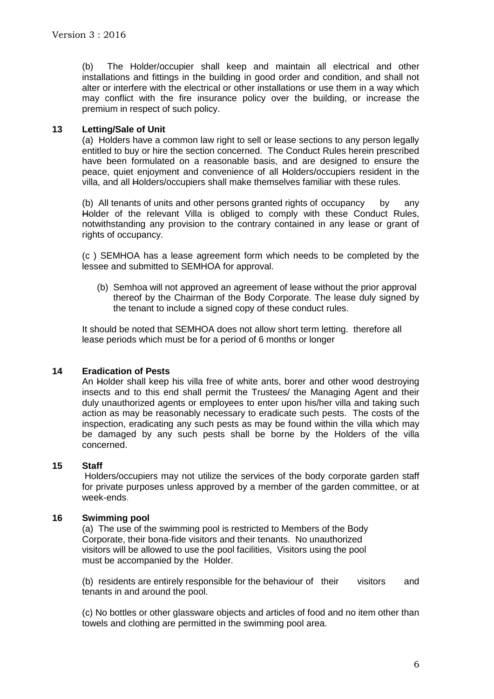(b) The Holder/occupier shall keep and maintain all electrical and other installations and fittings in the building in good order and condition, and shall not alter or interfere with the electrical or other installations or use them in a way which may conflict with the fire insurance policy over the building, or increase the premium in respect of such policy.

## **13 Letting/Sale of Unit**

(a) Holders have a common law right to sell or lease sections to any person legally entitled to buy or hire the section concerned. The Conduct Rules herein prescribed have been formulated on a reasonable basis, and are designed to ensure the peace, quiet enjoyment and convenience of all Holders/occupiers resident in the villa, and all Holders/occupiers shall make themselves familiar with these rules.

(b) All tenants of units and other persons granted rights of occupancy by any Holder of the relevant Villa is obliged to comply with these Conduct Rules, notwithstanding any provision to the contrary contained in any lease or grant of rights of occupancy.

(c ) SEMHOA has a lease agreement form which needs to be completed by the lessee and submitted to SEMHOA for approval.

(b) Semhoa will not approved an agreement of lease without the prior approval thereof by the Chairman of the Body Corporate. The lease duly signed by the tenant to include a signed copy of these conduct rules.

It should be noted that SEMHOA does not allow short term letting. therefore all lease periods which must be for a period of 6 months or longer

## **14 Eradication of Pests**

An Holder shall keep his villa free of white ants, borer and other wood destroying insects and to this end shall permit the Trustees/ the Managing Agent and their duly unauthorized agents or employees to enter upon his/her villa and taking such action as may be reasonably necessary to eradicate such pests. The costs of the inspection, eradicating any such pests as may be found within the villa which may be damaged by any such pests shall be borne by the Holders of the villa concerned.

## **15 Staff**

Holders/occupiers may not utilize the services of the body corporate garden staff for private purposes unless approved by a member of the garden committee, or at week-ends.

## **16 Swimming pool**

(a) The use of the swimming pool is restricted to Members of the Body Corporate, their bona-fide visitors and their tenants. No unauthorized visitors will be allowed to use the pool facilities, Visitors using the pool must be accompanied by the Holder.

(b) residents are entirely responsible for the behaviour of their visitors and tenants in and around the pool.

(c) No bottles or other glassware objects and articles of food and no item other than towels and clothing are permitted in the swimming pool area.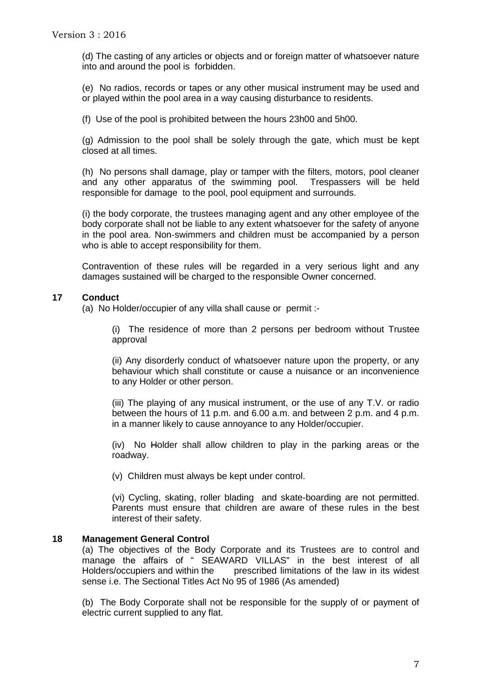(d) The casting of any articles or objects and or foreign matter of whatsoever nature into and around the pool is forbidden.

(e) No radios, records or tapes or any other musical instrument may be used and or played within the pool area in a way causing disturbance to residents.

(f) Use of the pool is prohibited between the hours 23h00 and 5h00.

(g) Admission to the pool shall be solely through the gate, which must be kept closed at all times.

(h) No persons shall damage, play or tamper with the filters, motors, pool cleaner and any other apparatus of the swimming pool. Trespassers will be held responsible for damage to the pool, pool equipment and surrounds.

(i) the body corporate, the trustees managing agent and any other employee of the body corporate shall not be liable to any extent whatsoever for the safety of anyone in the pool area. Non-swimmers and children must be accompanied by a person who is able to accept responsibility for them.

Contravention of these rules will be regarded in a very serious light and any damages sustained will be charged to the responsible Owner concerned.

# **17 Conduct**

(a) No Holder/occupier of any villa shall cause or permit :-

(i) The residence of more than 2 persons per bedroom without Trustee approval

(ii) Any disorderly conduct of whatsoever nature upon the property, or any behaviour which shall constitute or cause a nuisance or an inconvenience to any Holder or other person.

(iii) The playing of any musical instrument, or the use of any T.V. or radio between the hours of 11 p.m. and 6.00 a.m. and between 2 p.m. and 4 p.m. in a manner likely to cause annoyance to any Holder/occupier.

(iv) No Holder shall allow children to play in the parking areas or the roadway.

(v) Children must always be kept under control.

(vi) Cycling, skating, roller blading and skate-boarding are not permitted. Parents must ensure that children are aware of these rules in the best interest of their safety.

## **18 Management General Control**

(a) The objectives of the Body Corporate and its Trustees are to control and manage the affairs of " SEAWARD VILLAS" in the best interest of all Holders/occupiers and within the prescribed limitations of the law in its widest sense i.e. The Sectional Titles Act No 95 of 1986 (As amended)

(b) The Body Corporate shall not be responsible for the supply of or payment of electric current supplied to any flat.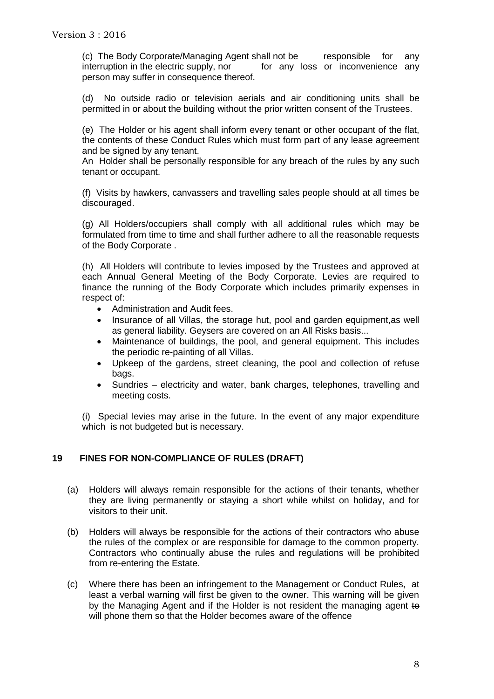(c) The Body Corporate/Managing Agent shall not be responsible for any interruption in the electric supply, nor for any loss or inconvenience any person may suffer in consequence thereof.

(d) No outside radio or television aerials and air conditioning units shall be permitted in or about the building without the prior written consent of the Trustees.

(e) The Holder or his agent shall inform every tenant or other occupant of the flat, the contents of these Conduct Rules which must form part of any lease agreement and be signed by any tenant.

An Holder shall be personally responsible for any breach of the rules by any such tenant or occupant.

(f) Visits by hawkers, canvassers and travelling sales people should at all times be discouraged.

(g) All Holders/occupiers shall comply with all additional rules which may be formulated from time to time and shall further adhere to all the reasonable requests of the Body Corporate .

(h) All Holders will contribute to levies imposed by the Trustees and approved at each Annual General Meeting of the Body Corporate. Levies are required to finance the running of the Body Corporate which includes primarily expenses in respect of:

- Administration and Audit fees.
- Insurance of all Villas, the storage hut, pool and garden equipment,as well as general liability. Geysers are covered on an All Risks basis...
- Maintenance of buildings, the pool, and general equipment. This includes the periodic re-painting of all Villas.
- Upkeep of the gardens, street cleaning, the pool and collection of refuse bags.
- Sundries electricity and water, bank charges, telephones, travelling and meeting costs.

(i) Special levies may arise in the future. In the event of any major expenditure which is not budgeted but is necessary.

## **19 FINES FOR NON-COMPLIANCE OF RULES (DRAFT)**

- (a) Holders will always remain responsible for the actions of their tenants, whether they are living permanently or staying a short while whilst on holiday, and for visitors to their unit.
- (b) Holders will always be responsible for the actions of their contractors who abuse the rules of the complex or are responsible for damage to the common property. Contractors who continually abuse the rules and regulations will be prohibited from re-entering the Estate.
- (c) Where there has been an infringement to the Management or Conduct Rules, at least a verbal warning will first be given to the owner. This warning will be given by the Managing Agent and if the Holder is not resident the managing agent to will phone them so that the Holder becomes aware of the offence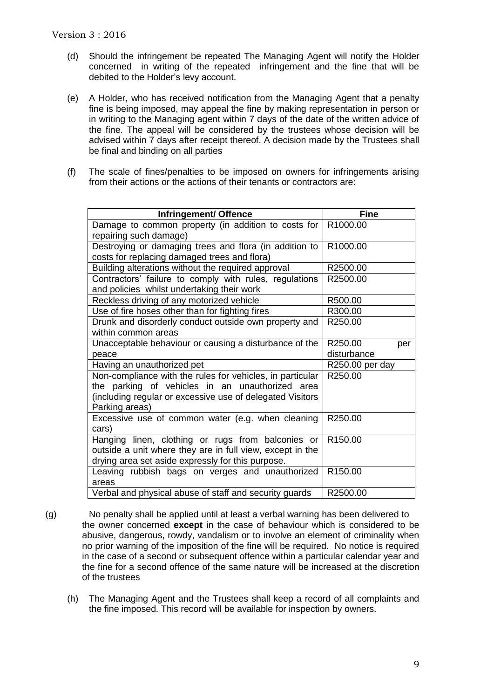- (d) Should the infringement be repeated The Managing Agent will notify the Holder concerned in writing of the repeated infringement and the fine that will be debited to the Holder's levy account.
- (e) A Holder, who has received notification from the Managing Agent that a penalty fine is being imposed, may appeal the fine by making representation in person or in writing to the Managing agent within 7 days of the date of the written advice of the fine. The appeal will be considered by the trustees whose decision will be advised within 7 days after receipt thereof. A decision made by the Trustees shall be final and binding on all parties
- (f) The scale of fines/penalties to be imposed on owners for infringements arising from their actions or the actions of their tenants or contractors are:

| Infringement/ Offence                                     | <b>Fine</b>         |
|-----------------------------------------------------------|---------------------|
| Damage to common property (in addition to costs for       | R1000.00            |
| repairing such damage)                                    |                     |
| Destroying or damaging trees and flora (in addition to    | R1000.00            |
| costs for replacing damaged trees and flora)              |                     |
| Building alterations without the required approval        | R2500.00            |
| Contractors' failure to comply with rules, regulations    | R2500.00            |
| and policies whilst undertaking their work                |                     |
| Reckless driving of any motorized vehicle                 | R500.00             |
| Use of fire hoses other than for fighting fires           | R300.00             |
| Drunk and disorderly conduct outside own property and     | R250.00             |
| within common areas                                       |                     |
| Unacceptable behaviour or causing a disturbance of the    | R250.00<br>per      |
| peace                                                     | disturbance         |
| Having an unauthorized pet                                | R250.00 per day     |
| Non-compliance with the rules for vehicles, in particular | R250.00             |
| the parking of vehicles in an unauthorized area           |                     |
| (including regular or excessive use of delegated Visitors |                     |
| Parking areas)                                            |                     |
| Excessive use of common water (e.g. when cleaning         | R250.00             |
| cars)                                                     |                     |
| Hanging linen, clothing or rugs from balconies or         | R <sub>150.00</sub> |
| outside a unit where they are in full view, except in the |                     |
| drying area set aside expressly for this purpose.         |                     |
| Leaving rubbish bags on verges and unauthorized           | R150.00             |
| areas                                                     |                     |
| Verbal and physical abuse of staff and security guards    | R2500.00            |

- (g) No penalty shall be applied until at least a verbal warning has been delivered to the owner concerned **except** in the case of behaviour which is considered to be abusive, dangerous, rowdy, vandalism or to involve an element of criminality when no prior warning of the imposition of the fine will be required. No notice is required in the case of a second or subsequent offence within a particular calendar year and the fine for a second offence of the same nature will be increased at the discretion of the trustees
	- (h) The Managing Agent and the Trustees shall keep a record of all complaints and the fine imposed. This record will be available for inspection by owners.